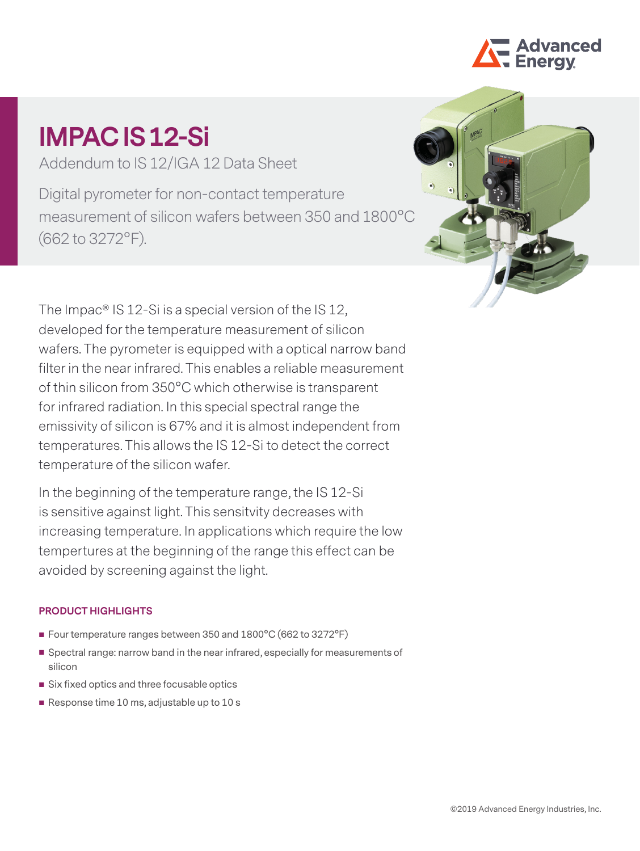

# **IMPAC IS 12-Si**

Addendum to IS 12/IGA 12 Data Sheet

Digital pyrometer for non-contact temperature measurement of silicon wafers between 350 and 1800°C (662 to 3272°F).



The Impac® IS 12-Si is a special version of the IS 12, developed for the temperature measurement of silicon wafers. The pyrometer is equipped with a optical narrow band filter in the near infrared. This enables a reliable measurement of thin silicon from 350°C which otherwise is transparent for infrared radiation. In this special spectral range the emissivity of silicon is 67% and it is almost independent from temperatures. This allows the IS 12-Si to detect the correct temperature of the silicon wafer.

In the beginning of the temperature range, the IS 12-Si is sensitive against light. This sensitvity decreases with increasing temperature. In applications which require the low tempertures at the beginning of the range this effect can be avoided by screening against the light.

## **PRODUCT HIGHLIGHTS**

- Four temperature ranges between 350 and 1800°C (662 to 3272°F)
- Spectral range: narrow band in the near infrared, especially for measurements of silicon
- Six fixed optics and three focusable optics
- Response time 10 ms, adjustable up to 10 s